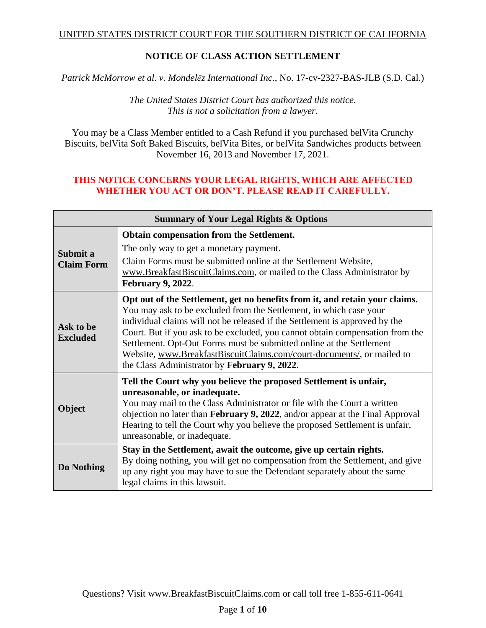#### UNITED STATES DISTRICT COURT FOR THE SOUTHERN DISTRICT OF CALIFORNIA

## **NOTICE OF CLASS ACTION SETTLEMENT**

*Patrick McMorrow et al*. *v. Mondelēz International Inc*., No. 17-cv-2327-BAS-JLB (S.D. Cal.)

*The United States District Court has authorized this notice. This is not a solicitation from a lawyer.*

You may be a Class Member entitled to a Cash Refund if you purchased belVita Crunchy Biscuits, belVita Soft Baked Biscuits, belVita Bites, or belVita Sandwiches products between November 16, 2013 and November 17, 2021.

#### **THIS NOTICE CONCERNS YOUR LEGAL RIGHTS, WHICH ARE AFFECTED WHETHER YOU ACT OR DON'T. PLEASE READ IT CAREFULLY.**

| <b>Summary of Your Legal Rights &amp; Options</b> |                                                                                                                                                                                                                                                                                                                                                                                                                                                                                                                     |  |  |  |
|---------------------------------------------------|---------------------------------------------------------------------------------------------------------------------------------------------------------------------------------------------------------------------------------------------------------------------------------------------------------------------------------------------------------------------------------------------------------------------------------------------------------------------------------------------------------------------|--|--|--|
|                                                   | Obtain compensation from the Settlement.                                                                                                                                                                                                                                                                                                                                                                                                                                                                            |  |  |  |
| Submit a                                          | The only way to get a monetary payment.                                                                                                                                                                                                                                                                                                                                                                                                                                                                             |  |  |  |
| <b>Claim Form</b>                                 | Claim Forms must be submitted online at the Settlement Website,<br>www.BreakfastBiscuitClaims.com, or mailed to the Class Administrator by<br><b>February 9, 2022.</b>                                                                                                                                                                                                                                                                                                                                              |  |  |  |
| Ask to be<br><b>Excluded</b>                      | Opt out of the Settlement, get no benefits from it, and retain your claims.<br>You may ask to be excluded from the Settlement, in which case your<br>individual claims will not be released if the Settlement is approved by the<br>Court. But if you ask to be excluded, you cannot obtain compensation from the<br>Settlement. Opt-Out Forms must be submitted online at the Settlement<br>Website, www.BreakfastBiscuitClaims.com/court-documents/, or mailed to<br>the Class Administrator by February 9, 2022. |  |  |  |
| Object                                            | Tell the Court why you believe the proposed Settlement is unfair,<br>unreasonable, or inadequate.<br>You may mail to the Class Administrator or file with the Court a written<br>objection no later than February 9, 2022, and/or appear at the Final Approval<br>Hearing to tell the Court why you believe the proposed Settlement is unfair,<br>unreasonable, or inadequate.                                                                                                                                      |  |  |  |
| Do Nothing                                        | Stay in the Settlement, await the outcome, give up certain rights.<br>By doing nothing, you will get no compensation from the Settlement, and give<br>up any right you may have to sue the Defendant separately about the same<br>legal claims in this lawsuit.                                                                                                                                                                                                                                                     |  |  |  |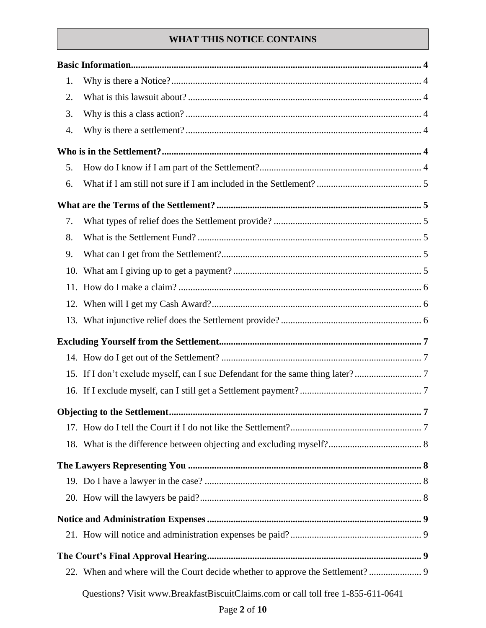# **WHAT THIS NOTICE CONTAINS**

| 1.  |  |  |  |
|-----|--|--|--|
| 2.  |  |  |  |
| 3.  |  |  |  |
| 4.  |  |  |  |
|     |  |  |  |
| 5.  |  |  |  |
| 6.  |  |  |  |
|     |  |  |  |
| 7.  |  |  |  |
| 8.  |  |  |  |
| 9.  |  |  |  |
| 10. |  |  |  |
|     |  |  |  |
|     |  |  |  |
|     |  |  |  |
|     |  |  |  |
|     |  |  |  |
|     |  |  |  |
|     |  |  |  |
|     |  |  |  |
|     |  |  |  |
|     |  |  |  |
|     |  |  |  |
|     |  |  |  |
|     |  |  |  |
|     |  |  |  |
|     |  |  |  |
|     |  |  |  |
|     |  |  |  |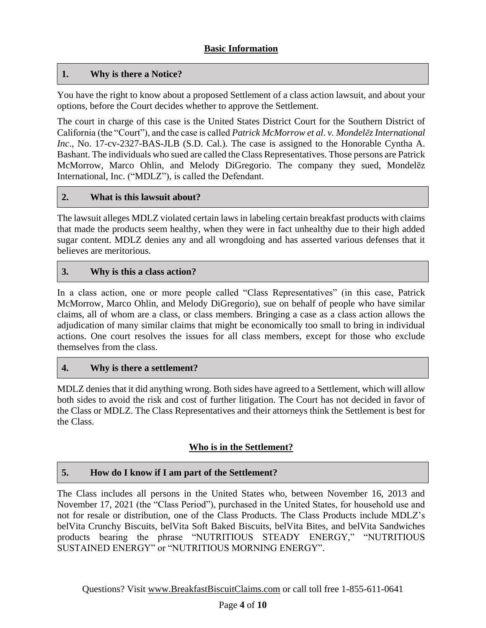## <span id="page-3-1"></span><span id="page-3-0"></span>**1. Why is there a Notice?**

You have the right to know about a proposed Settlement of a class action lawsuit, and about your options, before the Court decides whether to approve the Settlement.

The court in charge of this case is the United States District Court for the Southern District of California (the "Court"), and the case is called *Patrick McMorrow et al*. *v. Mondelēz International Inc*., No. 17-cv-2327-BAS-JLB (S.D. Cal.). The case is assigned to the Honorable Cyntha A. Bashant. The individuals who sued are called the Class Representatives. Those persons are Patrick McMorrow, Marco Ohlin, and Melody DiGregorio. The company they sued, Mondelēz International, Inc. ("MDLZ"), is called the Defendant.

#### <span id="page-3-2"></span>**2. What is this lawsuit about?**

The lawsuit alleges MDLZ violated certain laws in labeling certain breakfast products with claims that made the products seem healthy, when they were in fact unhealthy due to their high added sugar content. MDLZ denies any and all wrongdoing and has asserted various defenses that it believes are meritorious.

#### <span id="page-3-3"></span>**3. Why is this a class action?**

In a class action, one or more people called "Class Representatives" (in this case, Patrick McMorrow, Marco Ohlin, and Melody DiGregorio), sue on behalf of people who have similar claims, all of whom are a class, or class members. Bringing a case as a class action allows the adjudication of many similar claims that might be economically too small to bring in individual actions. One court resolves the issues for all class members, except for those who exclude themselves from the class.

#### <span id="page-3-4"></span>**4. Why is there a settlement?**

MDLZ denies that it did anything wrong. Both sides have agreed to a Settlement, which will allow both sides to avoid the risk and cost of further litigation. The Court has not decided in favor of the Class or MDLZ. The Class Representatives and their attorneys think the Settlement is best for the Class.

#### **Who is in the Settlement?**

#### <span id="page-3-6"></span><span id="page-3-5"></span>**5. How do I know if I am part of the Settlement?**

The Class includes all persons in the United States who, between November 16, 2013 and November 17, 2021 (the "Class Period"), purchased in the United States, for household use and not for resale or distribution, one of the Class Products. The Class Products include MDLZ's belVita Crunchy Biscuits, belVita Soft Baked Biscuits, belVita Bites, and belVita Sandwiches products bearing the phrase "NUTRITIOUS STEADY ENERGY," "NUTRITIOUS SUSTAINED ENERGY" or "NUTRITIOUS MORNING ENERGY".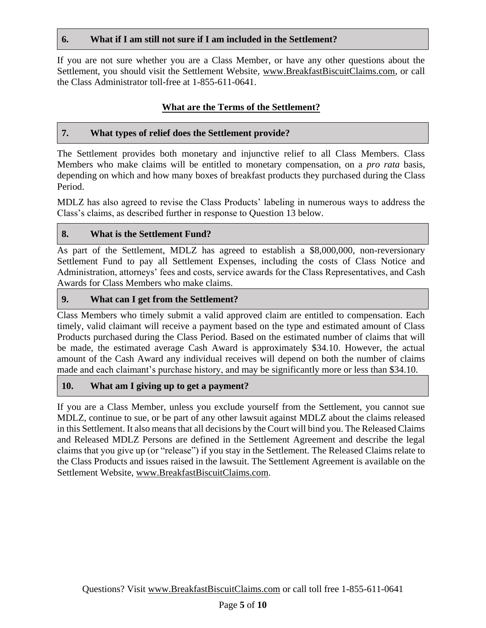#### <span id="page-4-0"></span>**6. What if I am still not sure if I am included in the Settlement?**

If you are not sure whether you are a Class Member, or have any other questions about the Settlement, you should visit the Settlement Website, www.BreakfastBiscuitClaims.com, or call the Class Administrator toll-free at 1-855-611-0641.

## **What are the Terms of the Settlement?**

## <span id="page-4-2"></span><span id="page-4-1"></span>**7. What types of relief does the Settlement provide?**

The Settlement provides both monetary and injunctive relief to all Class Members. Class Members who make claims will be entitled to monetary compensation, on a *pro rata* basis, depending on which and how many boxes of breakfast products they purchased during the Class Period.

MDLZ has also agreed to revise the Class Products' labeling in numerous ways to address the Class's claims, as described further in response to Question 13 below.

## <span id="page-4-3"></span>**8. What is the Settlement Fund?**

As part of the Settlement, MDLZ has agreed to establish a \$8,000,000, non-reversionary Settlement Fund to pay all Settlement Expenses, including the costs of Class Notice and Administration, attorneys' fees and costs, service awards for the Class Representatives, and Cash Awards for Class Members who make claims.

## <span id="page-4-4"></span>**9. What can I get from the Settlement?**

Class Members who timely submit a valid approved claim are entitled to compensation. Each timely, valid claimant will receive a payment based on the type and estimated amount of Class Products purchased during the Class Period. Based on the estimated number of claims that will be made, the estimated average Cash Award is approximately \$34.10. However, the actual amount of the Cash Award any individual receives will depend on both the number of claims made and each claimant's purchase history, and may be significantly more or less than \$34.10.

#### <span id="page-4-5"></span>**10. What am I giving up to get a payment?**

If you are a Class Member, unless you exclude yourself from the Settlement, you cannot sue MDLZ, continue to sue, or be part of any other lawsuit against MDLZ about the claims released in this Settlement. It also means that all decisions by the Court will bind you. The Released Claims and Released MDLZ Persons are defined in the Settlement Agreement and describe the legal claims that you give up (or "release") if you stay in the Settlement. The Released Claims relate to the Class Products and issues raised in the lawsuit. The Settlement Agreement is available on the Settlement Website, www.BreakfastBiscuitClaims.com.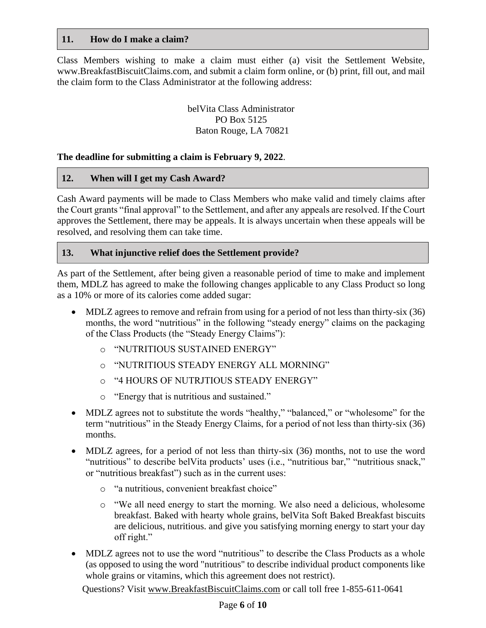#### <span id="page-5-0"></span>**11. How do I make a claim?**

Class Members wishing to make a claim must either (a) visit the Settlement Website, www.BreakfastBiscuitClaims.com, and submit a claim form online, or (b) print, fill out, and mail the claim form to the Class Administrator at the following address:

> belVita Class Administrator PO Box 5125 Baton Rouge, LA 70821

#### **The deadline for submitting a claim is February 9, 2022**.

#### <span id="page-5-1"></span>**12. When will I get my Cash Award?**

Cash Award payments will be made to Class Members who make valid and timely claims after the Court grants "final approval" to the Settlement, and after any appeals are resolved. If the Court approves the Settlement, there may be appeals. It is always uncertain when these appeals will be resolved, and resolving them can take time.

#### <span id="page-5-2"></span>**13. What injunctive relief does the Settlement provide?**

As part of the Settlement, after being given a reasonable period of time to make and implement them, MDLZ has agreed to make the following changes applicable to any Class Product so long as a 10% or more of its calories come added sugar:

- MDLZ agrees to remove and refrain from using for a period of not less than thirty-six (36) months, the word "nutritious" in the following "steady energy" claims on the packaging of the Class Products (the "Steady Energy Claims"):
	- o "NUTRITIOUS SUSTAINED ENERGY"
	- o "NUTRITIOUS STEADY ENERGY ALL MORNING"
	- o "4 HOURS OF NUTRJTIOUS STEADY ENERGY"
	- o "Energy that is nutritious and sustained."
- MDLZ agrees not to substitute the words "healthy," "balanced," or "wholesome" for the term "nutritious" in the Steady Energy Claims, for a period of not less than thirty-six (36) months.
- MDLZ agrees, for a period of not less than thirty-six (36) months, not to use the word "nutritious" to describe belVita products' uses (i.e., "nutritious bar," "nutritious snack," or "nutritious breakfast") such as in the current uses:
	- o "a nutritious, convenient breakfast choice"
	- o "We all need energy to start the morning. We also need a delicious, wholesome breakfast. Baked with hearty whole grains, belVita Soft Baked Breakfast biscuits are delicious, nutritious. and give you satisfying morning energy to start your day off right."
- MDLZ agrees not to use the word "nutritious" to describe the Class Products as a whole (as opposed to using the word "nutritious" to describe individual product components like whole grains or vitamins, which this agreement does not restrict).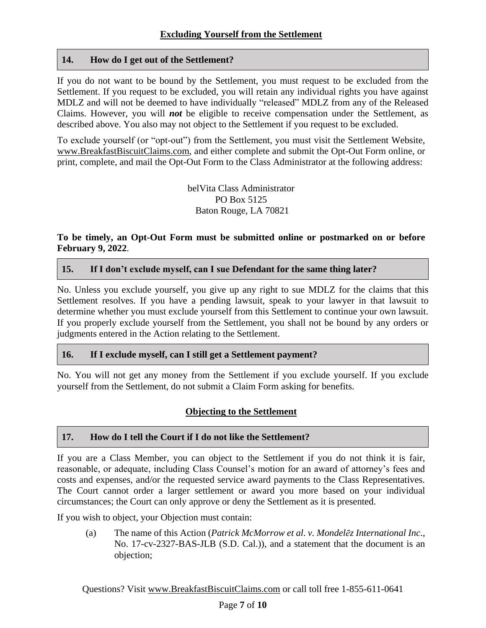#### <span id="page-6-1"></span><span id="page-6-0"></span>**14. How do I get out of the Settlement?**

If you do not want to be bound by the Settlement, you must request to be excluded from the Settlement. If you request to be excluded, you will retain any individual rights you have against MDLZ and will not be deemed to have individually "released" MDLZ from any of the Released Claims. However, you will *not* be eligible to receive compensation under the Settlement, as described above. You also may not object to the Settlement if you request to be excluded.

To exclude yourself (or "opt-out") from the Settlement, you must visit the Settlement Website, www.BreakfastBiscuitClaims.com, and either complete and submit the Opt-Out Form online, or print, complete, and mail the Opt-Out Form to the Class Administrator at the following address:

> belVita Class Administrator PO Box 5125 Baton Rouge, LA 70821

#### **To be timely, an Opt-Out Form must be submitted online or postmarked on or before February 9, 2022**.

#### <span id="page-6-2"></span>**15. If I don't exclude myself, can I sue Defendant for the same thing later?**

No. Unless you exclude yourself, you give up any right to sue MDLZ for the claims that this Settlement resolves. If you have a pending lawsuit, speak to your lawyer in that lawsuit to determine whether you must exclude yourself from this Settlement to continue your own lawsuit. If you properly exclude yourself from the Settlement, you shall not be bound by any orders or judgments entered in the Action relating to the Settlement.

#### <span id="page-6-3"></span>**16. If I exclude myself, can I still get a Settlement payment?**

No. You will not get any money from the Settlement if you exclude yourself. If you exclude yourself from the Settlement, do not submit a Claim Form asking for benefits.

#### <span id="page-6-4"></span>**Objecting to the Settlement**

#### <span id="page-6-5"></span>**17. How do I tell the Court if I do not like the Settlement?**

If you are a Class Member, you can object to the Settlement if you do not think it is fair, reasonable, or adequate, including Class Counsel's motion for an award of attorney's fees and costs and expenses, and/or the requested service award payments to the Class Representatives. The Court cannot order a larger settlement or award you more based on your individual circumstances; the Court can only approve or deny the Settlement as it is presented.

If you wish to object, your Objection must contain:

(a) The name of this Action (*Patrick McMorrow et al*. *v. Mondelēz International Inc*., No. 17-cv-2327-BAS-JLB (S.D. Cal.)), and a statement that the document is an objection;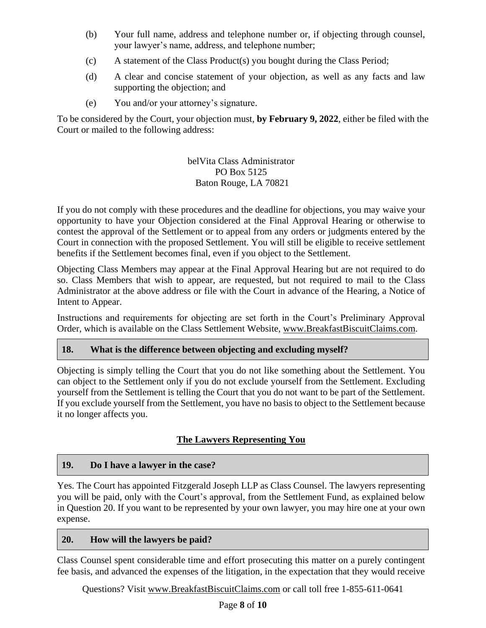- (b) Your full name, address and telephone number or, if objecting through counsel, your lawyer's name, address, and telephone number;
- (c) A statement of the Class Product(s) you bought during the Class Period;
- (d) A clear and concise statement of your objection, as well as any facts and law supporting the objection; and
- (e) You and/or your attorney's signature.

To be considered by the Court, your objection must, **by February 9, 2022**, either be filed with the Court or mailed to the following address:

#### belVita Class Administrator PO Box 5125 Baton Rouge, LA 70821

If you do not comply with these procedures and the deadline for objections, you may waive your opportunity to have your Objection considered at the Final Approval Hearing or otherwise to contest the approval of the Settlement or to appeal from any orders or judgments entered by the Court in connection with the proposed Settlement. You will still be eligible to receive settlement benefits if the Settlement becomes final, even if you object to the Settlement.

Objecting Class Members may appear at the Final Approval Hearing but are not required to do so. Class Members that wish to appear, are requested, but not required to mail to the Class Administrator at the above address or file with the Court in advance of the Hearing, a Notice of Intent to Appear.

Instructions and requirements for objecting are set forth in the Court's Preliminary Approval Order, which is available on the Class Settlement Website, www.BreakfastBiscuitClaims.com.

## <span id="page-7-0"></span>**18. What is the difference between objecting and excluding myself?**

Objecting is simply telling the Court that you do not like something about the Settlement. You can object to the Settlement only if you do not exclude yourself from the Settlement. Excluding yourself from the Settlement is telling the Court that you do not want to be part of the Settlement. If you exclude yourself from the Settlement, you have no basis to object to the Settlement because it no longer affects you.

## **The Lawyers Representing You**

#### <span id="page-7-2"></span><span id="page-7-1"></span>**19. Do I have a lawyer in the case?**

Yes. The Court has appointed Fitzgerald Joseph LLP as Class Counsel. The lawyers representing you will be paid, only with the Court's approval, from the Settlement Fund, as explained below in Question 20. If you want to be represented by your own lawyer, you may hire one at your own expense.

#### <span id="page-7-3"></span>**20. How will the lawyers be paid?**

Class Counsel spent considerable time and effort prosecuting this matter on a purely contingent fee basis, and advanced the expenses of the litigation, in the expectation that they would receive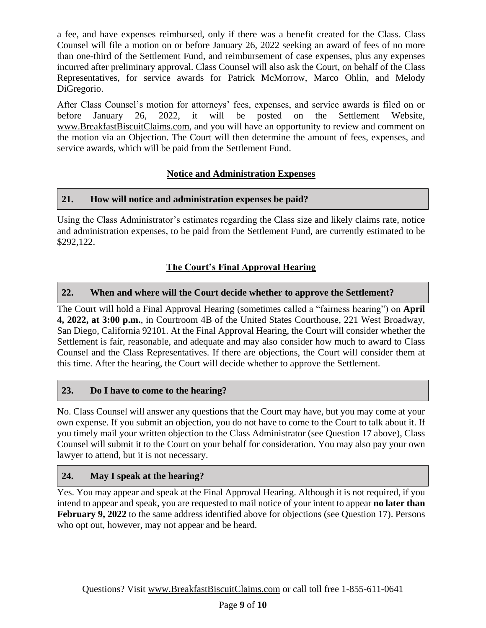a fee, and have expenses reimbursed, only if there was a benefit created for the Class. Class Counsel will file a motion on or before January 26, 2022 seeking an award of fees of no more than one-third of the Settlement Fund, and reimbursement of case expenses, plus any expenses incurred after preliminary approval. Class Counsel will also ask the Court, on behalf of the Class Representatives, for service awards for Patrick McMorrow, Marco Ohlin, and Melody DiGregorio.

After Class Counsel's motion for attorneys' fees, expenses, and service awards is filed on or before January 26, 2022, it will be posted on the Settlement Website, www.BreakfastBiscuitClaims.com, and you will have an opportunity to review and comment on the motion via an Objection. The Court will then determine the amount of fees, expenses, and service awards, which will be paid from the Settlement Fund.

## **Notice and Administration Expenses**

## <span id="page-8-1"></span><span id="page-8-0"></span>**21. How will notice and administration expenses be paid?**

Using the Class Administrator's estimates regarding the Class size and likely claims rate, notice and administration expenses, to be paid from the Settlement Fund, are currently estimated to be \$292,122.

# **The Court's Final Approval Hearing**

## <span id="page-8-3"></span><span id="page-8-2"></span>**22. When and where will the Court decide whether to approve the Settlement?**

The Court will hold a Final Approval Hearing (sometimes called a "fairness hearing") on **April 4, 2022, at 3:00 p.m.**, in Courtroom 4B of the United States Courthouse, 221 West Broadway, San Diego, California 92101. At the Final Approval Hearing, the Court will consider whether the Settlement is fair, reasonable, and adequate and may also consider how much to award to Class Counsel and the Class Representatives. If there are objections, the Court will consider them at this time. After the hearing, the Court will decide whether to approve the Settlement.

## <span id="page-8-4"></span>**23. Do I have to come to the hearing?**

No. Class Counsel will answer any questions that the Court may have, but you may come at your own expense. If you submit an objection, you do not have to come to the Court to talk about it. If you timely mail your written objection to the Class Administrator (see Question 17 above), Class Counsel will submit it to the Court on your behalf for consideration. You may also pay your own lawyer to attend, but it is not necessary.

#### <span id="page-8-5"></span>**24. May I speak at the hearing?**

Yes. You may appear and speak at the Final Approval Hearing. Although it is not required, if you intend to appear and speak, you are requested to mail notice of your intent to appear **no later than February 9, 2022** to the same address identified above for objections (see Question 17). Persons who opt out, however, may not appear and be heard.